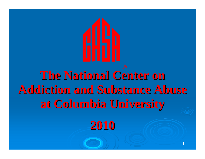

# **The National Center on Addiction and Substance Abuse Addiction and Substance Abuse at Columbia University at Columbia University**

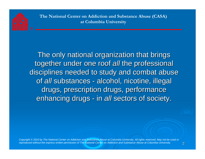

The only national organization that brings together under one roof *all* the professional disciplines needed to study and combat abuse of *all* substances - alcohol, nicotine, illegal drugs, prescription drugs, performance enhancing drugs - in *all* sectors of society.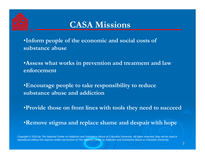

### **CASA Missions**

•**Inform people of the economic and social costs of substance abuse**

•**Assess what works in prevention and treatment and law enforcement**

•**Encourage people to take responsibility to reduce substance abuse and addiction**

•**Provide those on front lines with tools they need to succeed**

•**Remove stigma and replace shame and despair with hope**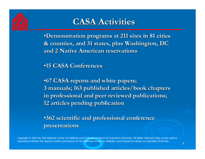

### **CASA Activities CASA Activities**

•**Demonstration programs at 211 sites in 81 cities & counties, and 31 states, plus Washington, DC & counties, and 31 states, plus Washington, DC and 2 Native American reservations and 2 Native American reservations**

•**15 CASA Conferences 15 CASA Conferences**

•**67 CASA reports and white papers; 3 manuals; 163 published articles/book chapters 3 manuals; 163 published articles/book chapters in professional and peer reviewed publications; in professional and peer reviewed publications; 12 articles pending publication 12 articles pending publication**

•**362 scientific and professional conference 362 scientific and professional conference presentations presentations**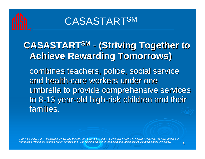## **CASASTARTSM**

## **CASASTARTSM - (Striving Together to Achieve Rewarding Tomorrows) Achieve Rewarding Tomorrows)** combines teachers, police, social service

and health-care workers under one umbrella to provide comprehensive services to 8-13 year-old high-risk children and their families.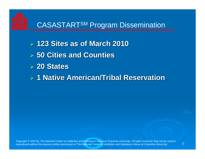#### CASASTARTSM Program Dissemination

- ¾ **123 Sites as of March 2010 123 Sites as of March 2010**
- ¾ **50 Cities and Counties 50 Cities and Counties**
- ¾ **20 States 20 States**
- ¾ **1 Native American/Tribal Reservation 1 Native American/Tribal Reservation**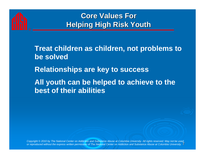

#### **Core Values For Helping High Risk Youth**

**Treat children as children, not problems to be solved**

**Relationships are key to success**

**All youth can be helped to achieve to the best of their abilities**

7 *or reproduced without the express written permission of The National Center on Addiction and Substance Abuse at Columbia University.Copyright © 2010 by The National Center on Addiction and Substance Abuse at Columbia University. All rights reserved. May not be used*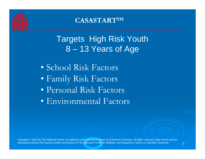

#### **CASASTARTSM**

## Targets High Risk Youth 8 – 13 Years of Age

• School Risk Factors • Family Risk Factors • Personal Risk Factors • Environmental Factors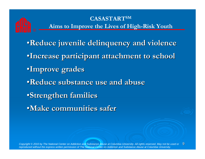#### **CASASTARTSM Aims to Improve the Lives of High-Risk Youth**

•**Reduce juvenile delinquency and violence Reduce juvenile delinquency and violence** •**Increase participant attachment to school Increase participant attachment to school**  •**Improve grades Improve grades** •**Reduce substance use and abuse Reduce substance use and abuse**•**Strengthen families Strengthen families** •**Make communities safer Make communities safer**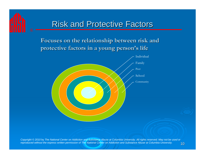### Risk and Protective Factors

#### **Focuses on the relationship between risk and Focuses on the relationship between risk and protective factors in a young person protective factors in a young person's life**

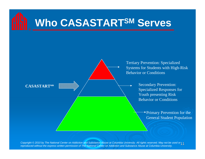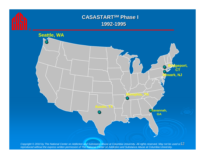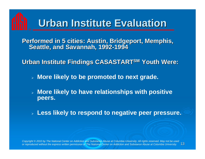

**Performed in 5 cities: Austin, Bridgeport, Memphis, Performed in 5 cities: Austin, Bridgeport, Memphis, -1994**

**Urban Institute Findings CASASTART Urban Institute Findings CASASTARTSM Youth Were: Youth Were:**

- ¾ **More likely to be promoted to next grade.**
- ¾ **More likely to have relationships with positive peers.**
- ¾ **Less likely to respond to negative peer pressure.**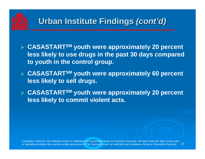## Urban Institute Findings *(cont'd)*

- ¾ **CASASTARTSM youth were approximately 20 percent less likely to use drugs in the past 30 days compared to youth in the control group.**
- ¾ **CASASTARTSM youth were approximately 60 percent less likely to sell drugs.**
- ¾ **CASASTARTSM youth were approximately 20 percent less likely to commit violent acts.**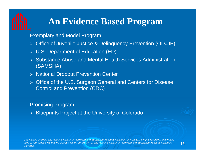### **An Evidence Based Program**

#### Exemplary and Model Program

- ¾ Office of Juvenile Justice & Delinquency Prevention (ODJJP)
- ¾ U.S. Department of Education (ED)
- ¾ Substance Abuse and Mental Health Services Administration (SAMSHA)
- ¾ National Dropout Prevention Center
- ¾ Office of the U.S. Surgeon General and Centers for Disease Control and Prevention (CDC)

#### Promising Program

¾ Blueprints Project at the University of Colorado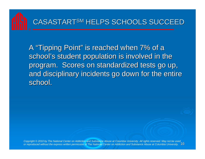

A "Tipping Point" is reached when 7% of a school's student population is involved in the program. Scores on standardized tests go up, program. Scores on standardized tests go up, and disciplinary incidents go down for the entire school.

16 *or reproduced without the express written permission of The National Center on Addiction and Substance Abuse at Columbia University.Copyright © 2010 by The National Center on Addiction and Substance Abuse at Columbia University. All rights reserved. May not be used*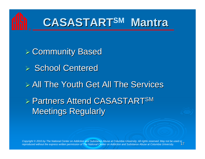

## **CASASTART CASASTARTSM Mantra**

¾ Community Based Community Based  $\triangleright$  School Centered  $\triangleright$  All The Youth Get All The Services **≽ Partners Attend CASASTARTSM Meetings Regularly**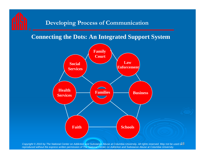#### **Developing Process of Communication**

#### **Connecting the Dots: An Integrated Support System**

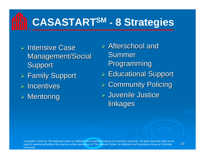## **CASASTARTSM - 8 Strategies**

- $\triangleright$  Intensive Case Management/Social **Support**  $\triangleright$  Family Support
- $\triangleright$  Incentives
- $\triangleright$  Mentoring

 $\triangleright$  Afterschool and **Summer Programming**  $\triangleright$  Educational Support  $\triangleright$  Community Policing  $\triangleright$  Juvenile Justice linkages

19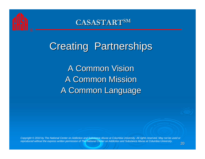

 $\mathbf{C}\mathbf{AS}\mathbf{AS}\mathbf{T}\mathbf{A}\mathbf{R}\mathbf{T}^{\mathbf{SM}}$ 

## **Creating Partnerships**

A Common Vision A Common Mission A Common Language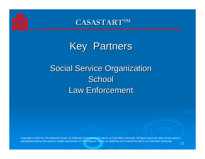

 $\mathbf{C}\mathbf{AS}\mathbf{AS}\mathbf{T}\mathbf{A}\mathbf{R}\mathbf{T}^{\mathbf{SM}}$ 

**Key Partners** 

## **Social Service Organization School** Law Enforcement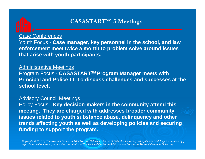

#### **CASASTARTSM 3 Meetings**

#### Case Conferences

Youth Focus - **Case manager, key personnel in the school, and law enforcement meet twice a month to problem solve around issues that arise with youth participants.**

#### Administrative Meetings

Program Focus - **CASASTARTSM Program Manager meets with Principal and Police Lt. To discuss challenges and successes at the school level.**

#### Advisory Council Meetings

Policy Focus - **Key decision-makers in the community attend this meeting. They are charged with addresses broader community issues related to youth substance abuse, delinquency and other trends affecting youth as well as developing policies and securing funding to support the program.**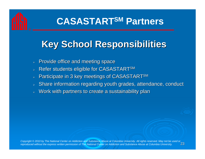## **CASASTARTSM Partners**

## **Key School Responsibilities Key School Responsibilities**

- ¾Provide office and meeting space
- ¾Refer students eligible for CASASTARTSM
- ¾Participate in 3 key meetings of CASASTARTSM
- ¾Share information regarding youth grades, attendance, conduct
- ¾Work with partners to create a sustainability plan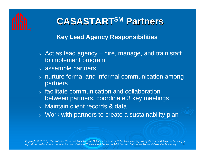## **CASASTART CASASTARTSM Partners Partners**

#### **Key Lead Agency Responsibilities**

- $\triangleright$  Act as lead agency hire, manage, and train staff to implement program
- $\triangleright$  assemble partners
- $\triangleright$  nurture formal and informal communication among  $\blacksquare$ partners
- $\triangleright$  facilitate communication and collaboration between partners, coordinate 3 key meetings
- ¾ Maintain client records & data
- $\triangleright$  Work with partners to create a sustainability plan

24 *reproduced without the express written permission of The National Center on Addiction and Substance Abuse at Columbia University.Copyright © 2010 by The National Center on Addiction and Substance Abuse at Columbia University. All rights reserved. May not be used or*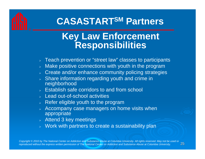## **CASASTARTSM Partners**

### **Key Law Enforcement Responsibilities**

- $\triangleright$  Teach prevention or "street law" classes to participants
- $\triangleright$  Make positive connections with youth in the program
- $\triangleright$  Create and/or enhance community policing strategies
- $\triangleright$  Share information regarding youth and crime in neighborhood
- $\triangleright$  Establish safe corridors to and from school
- $\triangleright$  Lead out-of-school activities
- $\triangleright$  Refer eligible youth to the program
- ¾ Accompany case managers on home visits when appropriate
- $\triangleright$   $\,$  Attend 3 key meetings
- $\triangleright$  Work with partners to create a sustainability plan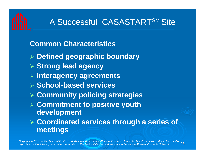## A Successful CASASTARTSM Site

#### **Common Characteristics**

- ¾ **Defined geographic boundary**
- ¾ **Strong lead agency**
- ¾ **Interagency agreements**
- ¾ **School-based services**
- ¾ **Community policing strategies**
- ¾ **Commitment to positive youth development**
- ¾ **Coordinated services through a series of meetings**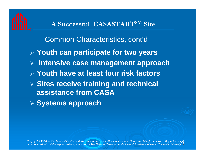#### **A Successful CASASTARTSM Site**

Common Characteristics, cont'd ¾ **Youth can participate for two years** ¾ **Intensive case management approach**  ¾ **Youth have at least four risk factors** ¾ **Sites receive training and technical assistance from CASA**¾ **Systems approach**

or reproduced without the express written permission of The National Center on Addiction and Substance Abuse at Columbia University 27 *Copyright © 2010 by The National Center on Addiction and Substance Abuse at Columbia University. All rights reserved. May not be used*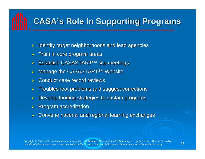## **CASA's Role In Supporting Programs**

- ¾Identify target neighborhoods and lead agencies
- ¾Train in core program areas
- ¾Establish CASASTART<sup>SM</sup> site meetings
- ¾Manage the CASASTART<sup>SM</sup> Website
- ¾Conduct case record reviews
- ¾Troubleshoot problems and suggest corrections Troubleshoot problems and suggest corrections
- ¾Develop funding strategies to sustain programs
- ¾Program accreditation Program accreditation
- ¾Convene national and regional learning exchanges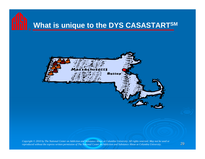## **What is unique to the DYS CASASTARTSM**

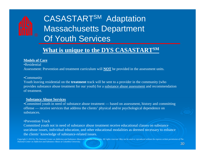## CASASTARTSM Adaptation Massachusetts Department Of Youth Services

#### **What is unique to the DYS CASASTARTSM**

#### **Models of Care**

•Residential

Assessment: Prevention and treatment curriculum will **NOT** be provided in the assessment units.

#### •Community

Youth leaving residential on the **treatment** track will be sent to a provider in the community (who provides substance abuse treatment for our youth) for a substance abuse assessment and recommendation of treatment.

#### **Substance Abuse Services**

•Committed youth in need of substance abuse treatment — based on assessment, history and committing offense — receive services that address the clients' physical and/or psychological dependence on substances.

#### •Prevention Track

Committed youth not in need of substance abuse treatment receive educational classes on substance use/abuse issues, individual education, and other educational modalities as deemed necessary to enhance the clients' knowledge of substance-related issues.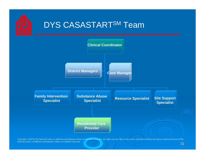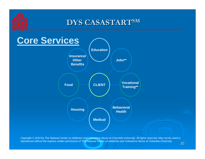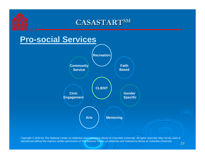#### $\mathbf{C}\mathbf{AS}\mathbf{AS}\mathbf{T}\mathbf{A}\mathbf{R}\mathbf{T}^{\mathbf{SM}}$

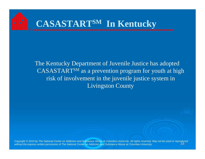

The Kentucky Department of Juvenile Justice has adopted CASASTARTSM as a prevention program for youth at high risk of involvement in the juvenile justice system in Livingston County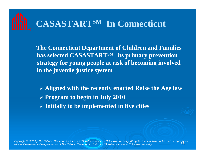## **CASASTARTSM In Connecticut**

**The Connecticut Department of Children and Families has selected CASASTARTSM its primary prevention strategy for young people at risk of becoming involved in the juvenile justice system**

¾**Aligned with the recently enacted Raise the Age law** ¾**Program to begin in July 2010** ¾**Initially to be implemented in five cities**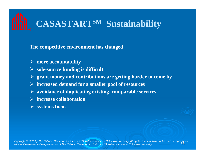## **CASASTARTSM Sustainability**

#### **The competitive environment has changed**

- ¾ **more accountability**
- ¾ **sole-source funding is difficult**
- ¾ **grant money and contributions are getting harder to come by**
- ¾ **increased demand for a smaller pool of resources**
- ¾ **avoidance of duplicating existing, comparable services**
- ¾ **increase collaboration**
- ¾ **systems focus**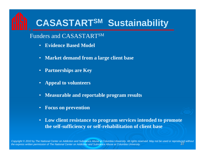## **CASASTARTSM Sustainability**

#### Funders and CASASTARTSM

- •**Evidence Based Model**
- **Market demand from a large client base**
- •**Partnerships are Key**
- •**Appeal to volunteers**
- •**Measurable and reportable program results**
- •**Focus on prevention**
- $\bullet$  **Low client resistance to program services intended to promote the self-sufficiency or self-rehabilitation of client base**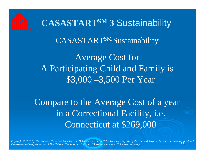

## **CASASTARTSM 3** Sustainability

CASASTARTSM Sustainability

Average Cost for A Participating Child and Family is \$3,000 –3,500 Per Year

Compare to the Average Cost of a year in a Correctional Facility, i.e. Connecticut at \$269,000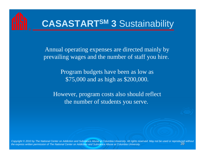# **CASASTARTSM 3** Sustainability

Annual operating expenses are directed mainly by prevailing wages and the number of staff you hire.

> Program budgets have been as low as \$75,000 and as high as \$200,000.

However, program costs also should reflect the number of students you serve.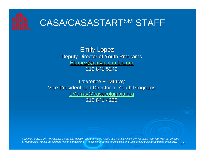

**Emily Lopez** Deputy Director of Youth Programs ELopez@casacolumbia.org ELopez@casacolumbia.org 212 841 5242

Lawrence F. Murray Vice President and Director of Youth Programs LMurray@casacolumbia.org 212 841 4208